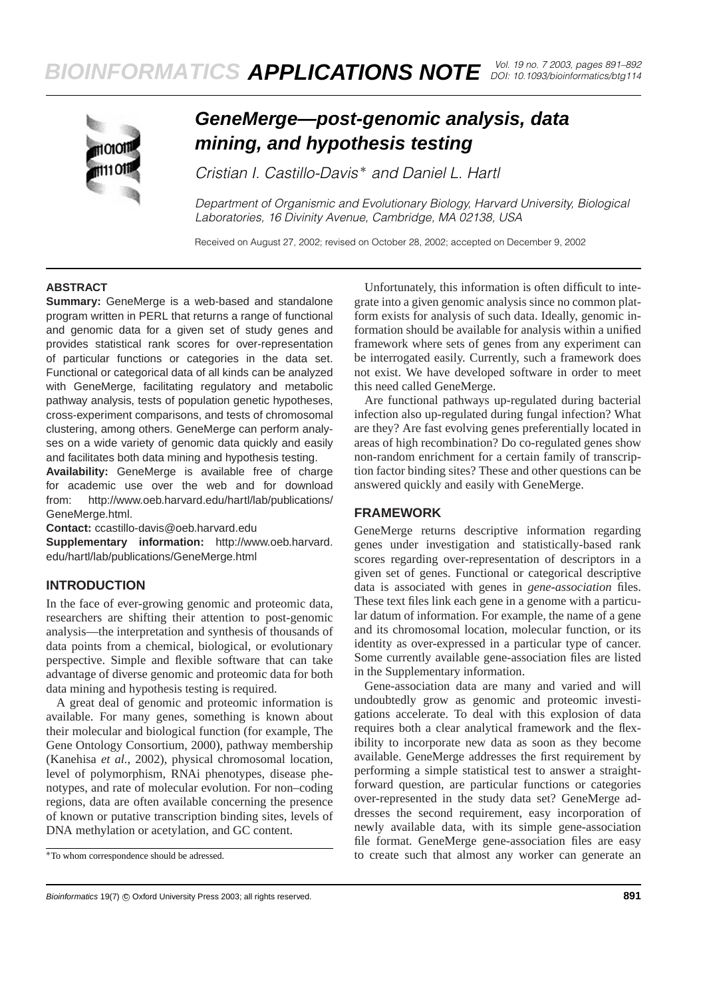

# **GeneMerge—post-genomic analysis, data mining, and hypothesis testing**

*Cristian I. Castillo-Davis* ∗ *and Daniel L. Hartl*

*Department of Organismic and Evolutionary Biology, Harvard University, Biological Laboratories, 16 Divinity Avenue, Cambridge, MA 02138, USA*

Received on August 27, 2002; revised on October 28, 2002; accepted on December 9, 2002

#### **ABSTRACT**

**Summary:** GeneMerge is a web-based and standalone program written in PERL that returns a range of functional and genomic data for a given set of study genes and provides statistical rank scores for over-representation of particular functions or categories in the data set. Functional or categorical data of all kinds can be analyzed with GeneMerge, facilitating regulatory and metabolic pathway analysis, tests of population genetic hypotheses, cross-experiment comparisons, and tests of chromosomal clustering, among others. GeneMerge can perform analyses on a wide variety of genomic data quickly and easily and facilitates both data mining and hypothesis testing.

**Availability:** GeneMerge is available free of charge for academic use over the web and for download from: http://www.oeb.harvard.edu/hartl/lab/publications/ GeneMerge.html.

**Contact:** ccastillo-davis@oeb.harvard.edu

**Supplementary information:** http://www.oeb.harvard. edu/hartl/lab/publications/GeneMerge.html

## **INTRODUCTION**

In the face of ever-growing genomic and proteomic data, researchers are shifting their attention to post-genomic analysis—the interpretation and synthesis of thousands of data points from a chemical, biological, or evolutionary perspective. Simple and flexible software that can take advantage of diverse genomic and proteomic data for both data mining and hypothesis testing is required.

A great deal of genomic and proteomic information is available. For many genes, something is known about their molecular and biological function (for example, The Gene Ontology Consortium, 2000), pathway membership (Kanehisa *et al.*, 2002), physical chromosomal location, level of polymorphism, RNAi phenotypes, disease phenotypes, and rate of molecular evolution. For non–coding regions, data are often available concerning the presence of known or putative transcription binding sites, levels of DNA methylation or acetylation, and GC content.

Unfortunately, this information is often difficult to integrate into a given genomic analysis since no common platform exists for analysis of such data. Ideally, genomic information should be available for analysis within a unified framework where sets of genes from any experiment can be interrogated easily. Currently, such a framework does not exist. We have developed software in order to meet this need called GeneMerge.

Are functional pathways up-regulated during bacterial infection also up-regulated during fungal infection? What are they? Are fast evolving genes preferentially located in areas of high recombination? Do co-regulated genes show non-random enrichment for a certain family of transcription factor binding sites? These and other questions can be answered quickly and easily with GeneMerge.

### **FRAMEWORK**

GeneMerge returns descriptive information regarding genes under investigation and statistically-based rank scores regarding over-representation of descriptors in a given set of genes. Functional or categorical descriptive data is associated with genes in *gene-association* files. These text files link each gene in a genome with a particular datum of information. For example, the name of a gene and its chromosomal location, molecular function, or its identity as over-expressed in a particular type of cancer. Some currently available gene-association files are listed in the Supplementary information.

Gene-association data are many and varied and will undoubtedly grow as genomic and proteomic investigations accelerate. To deal with this explosion of data requires both a clear analytical framework and the flexibility to incorporate new data as soon as they become available. GeneMerge addresses the first requirement by performing a simple statistical test to answer a straightforward question, are particular functions or categories over-represented in the study data set? GeneMerge addresses the second requirement, easy incorporation of newly available data, with its simple gene-association file format. GeneMerge gene-association files are easy to create such that almost any worker can generate an

<sup>∗</sup>To whom correspondence should be adressed.